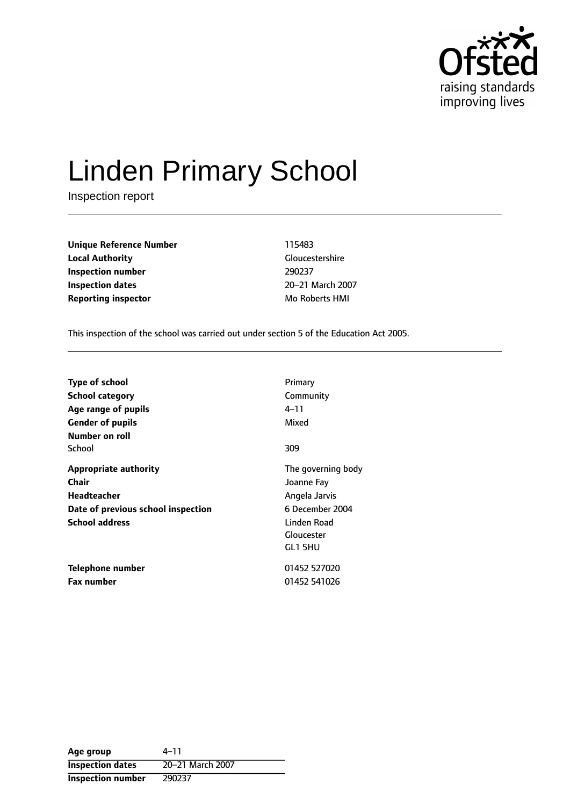

# Linden Primary School

Inspection report

**Unique Reference Number** 115483 **Local Authority** Gloucestershire **Inspection number** 290237 **Inspection dates** 20-21 March 2007 **Reporting inspector Mo Roberts HMI** 

This inspection of the school was carried out under section 5 of the Education Act 2005.

| <b>Type of school</b><br>School category<br>Age range of pupils<br><b>Gender of pupils</b><br>Number on roll               | Primary<br>Community<br>4–11<br>Mixed                                                                        |
|----------------------------------------------------------------------------------------------------------------------------|--------------------------------------------------------------------------------------------------------------|
| School                                                                                                                     | 309                                                                                                          |
| <b>Appropriate authority</b><br>Chair<br><b>Headteacher</b><br>Date of previous school inspection<br><b>School address</b> | The governing body<br>Joanne Fay<br>Angela Jarvis<br>6 December 2004<br>Linden Road<br>Gloucester<br>GL1 5HU |
| <b>Telephone number</b><br><b>Fax number</b>                                                                               | 01452 527020<br>01452 541026                                                                                 |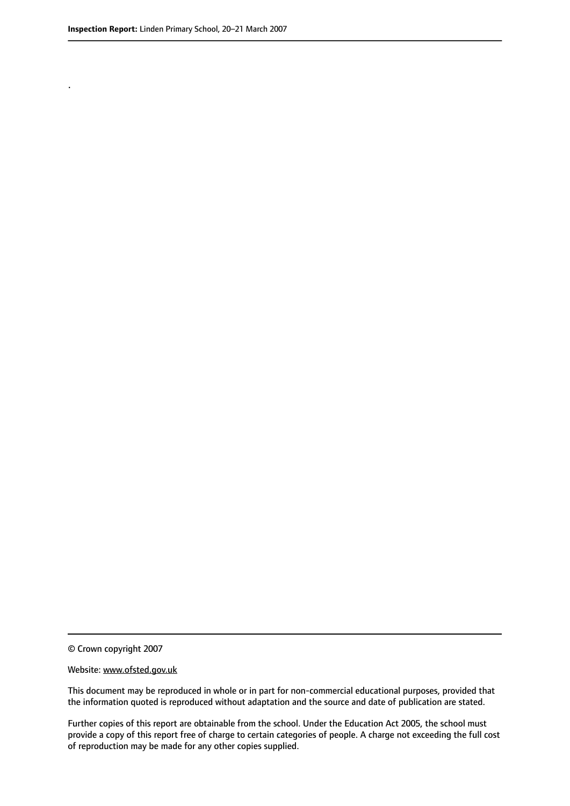.

© Crown copyright 2007

#### Website: www.ofsted.gov.uk

This document may be reproduced in whole or in part for non-commercial educational purposes, provided that the information quoted is reproduced without adaptation and the source and date of publication are stated.

Further copies of this report are obtainable from the school. Under the Education Act 2005, the school must provide a copy of this report free of charge to certain categories of people. A charge not exceeding the full cost of reproduction may be made for any other copies supplied.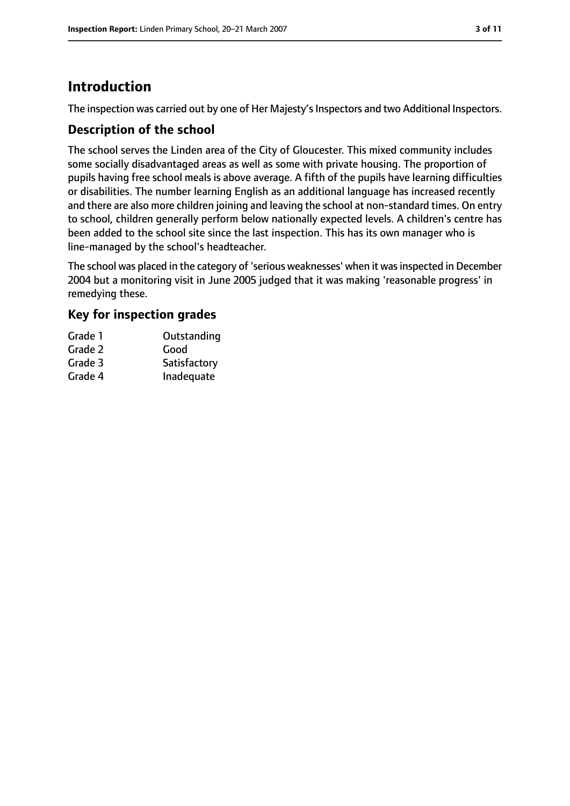# **Introduction**

The inspection was carried out by one of Her Majesty's Inspectors and two Additional Inspectors.

## **Description of the school**

The school serves the Linden area of the City of Gloucester. This mixed community includes some socially disadvantaged areas as well as some with private housing. The proportion of pupils having free school meals is above average. A fifth of the pupils have learning difficulties or disabilities. The number learning English as an additional language has increased recently and there are also more children joining and leaving the school at non-standard times. On entry to school, children generally perform below nationally expected levels. A children's centre has been added to the school site since the last inspection. This has its own manager who is line-managed by the school's headteacher.

The school was placed in the category of 'serious weaknesses' when it was inspected in December 2004 but a monitoring visit in June 2005 judged that it was making 'reasonable progress' in remedying these.

## **Key for inspection grades**

| Grade 1 | Outstanding  |
|---------|--------------|
| Grade 2 | Good         |
| Grade 3 | Satisfactory |
| Grade 4 | Inadequate   |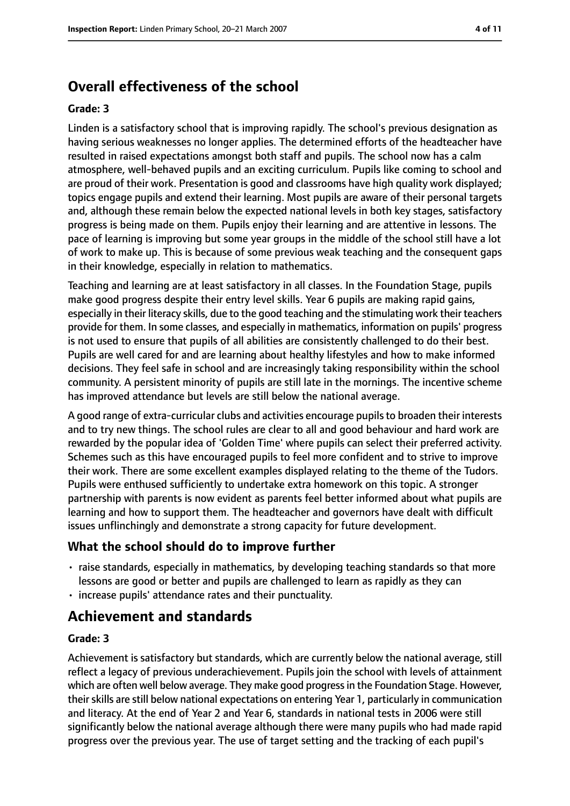# **Overall effectiveness of the school**

#### **Grade: 3**

Linden is a satisfactory school that is improving rapidly. The school's previous designation as having serious weaknesses no longer applies. The determined efforts of the headteacher have resulted in raised expectations amongst both staff and pupils. The school now has a calm atmosphere, well-behaved pupils and an exciting curriculum. Pupils like coming to school and are proud of their work. Presentation is good and classrooms have high quality work displayed; topics engage pupils and extend their learning. Most pupils are aware of their personal targets and, although these remain below the expected national levels in both key stages, satisfactory progress is being made on them. Pupils enjoy their learning and are attentive in lessons. The pace of learning is improving but some year groups in the middle of the school still have a lot of work to make up. This is because of some previous weak teaching and the consequent gaps in their knowledge, especially in relation to mathematics.

Teaching and learning are at least satisfactory in all classes. In the Foundation Stage, pupils make good progress despite their entry level skills. Year 6 pupils are making rapid gains, especially in their literacy skills, due to the good teaching and the stimulating work their teachers provide for them. In some classes, and especially in mathematics, information on pupils' progress is not used to ensure that pupils of all abilities are consistently challenged to do their best. Pupils are well cared for and are learning about healthy lifestyles and how to make informed decisions. They feel safe in school and are increasingly taking responsibility within the school community. A persistent minority of pupils are still late in the mornings. The incentive scheme has improved attendance but levels are still below the national average.

A good range of extra-curricular clubs and activities encourage pupilsto broaden their interests and to try new things. The school rules are clear to all and good behaviour and hard work are rewarded by the popular idea of 'Golden Time' where pupils can select their preferred activity. Schemes such as this have encouraged pupils to feel more confident and to strive to improve their work. There are some excellent examples displayed relating to the theme of the Tudors. Pupils were enthused sufficiently to undertake extra homework on this topic. A stronger partnership with parents is now evident as parents feel better informed about what pupils are learning and how to support them. The headteacher and governors have dealt with difficult issues unflinchingly and demonstrate a strong capacity for future development.

#### **What the school should do to improve further**

- raise standards, especially in mathematics, by developing teaching standards so that more lessons are good or better and pupils are challenged to learn as rapidly as they can
- increase pupils' attendance rates and their punctuality.

## **Achievement and standards**

#### **Grade: 3**

Achievement is satisfactory but standards, which are currently below the national average, still reflect a legacy of previous underachievement. Pupils join the school with levels of attainment which are often well below average. They make good progressin the Foundation Stage. However, their skills are still below national expectations on entering Year 1, particularly in communication and literacy. At the end of Year 2 and Year 6, standards in national tests in 2006 were still significantly below the national average although there were many pupils who had made rapid progress over the previous year. The use of target setting and the tracking of each pupil's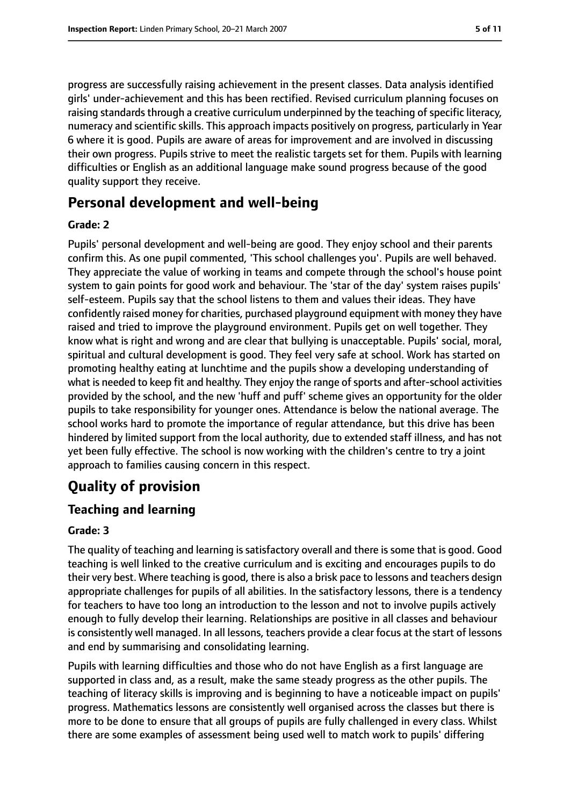progress are successfully raising achievement in the present classes. Data analysis identified girls' under-achievement and this has been rectified. Revised curriculum planning focuses on raising standards through a creative curriculum underpinned by the teaching of specific literacy, numeracy and scientific skills. This approach impacts positively on progress, particularly in Year 6 where it is good. Pupils are aware of areas for improvement and are involved in discussing their own progress. Pupils strive to meet the realistic targets set for them. Pupils with learning difficulties or English as an additional language make sound progress because of the good quality support they receive.

## **Personal development and well-being**

#### **Grade: 2**

Pupils' personal development and well-being are good. They enjoy school and their parents confirm this. As one pupil commented, 'This school challenges you'. Pupils are well behaved. They appreciate the value of working in teams and compete through the school's house point system to gain points for good work and behaviour. The 'star of the day' system raises pupils' self-esteem. Pupils say that the school listens to them and values their ideas. They have confidently raised money for charities, purchased playground equipment with money they have raised and tried to improve the playground environment. Pupils get on well together. They know what is right and wrong and are clear that bullying is unacceptable. Pupils' social, moral, spiritual and cultural development is good. They feel very safe at school. Work has started on promoting healthy eating at lunchtime and the pupils show a developing understanding of what is needed to keep fit and healthy. They enjoy the range of sports and after-school activities provided by the school, and the new 'huff and puff' scheme gives an opportunity for the older pupils to take responsibility for younger ones. Attendance is below the national average. The school works hard to promote the importance of regular attendance, but this drive has been hindered by limited support from the local authority, due to extended staff illness, and has not yet been fully effective. The school is now working with the children's centre to try a joint approach to families causing concern in this respect.

# **Quality of provision**

## **Teaching and learning**

#### **Grade: 3**

The quality of teaching and learning is satisfactory overall and there is some that is good. Good teaching is well linked to the creative curriculum and is exciting and encourages pupils to do their very best. Where teaching is good, there is also a brisk pace to lessons and teachers design appropriate challenges for pupils of all abilities. In the satisfactory lessons, there is a tendency for teachers to have too long an introduction to the lesson and not to involve pupils actively enough to fully develop their learning. Relationships are positive in all classes and behaviour is consistently well managed. In all lessons, teachers provide a clear focus at the start of lessons and end by summarising and consolidating learning.

Pupils with learning difficulties and those who do not have English as a first language are supported in class and, as a result, make the same steady progress as the other pupils. The teaching of literacy skills is improving and is beginning to have a noticeable impact on pupils' progress. Mathematics lessons are consistently well organised across the classes but there is more to be done to ensure that all groups of pupils are fully challenged in every class. Whilst there are some examples of assessment being used well to match work to pupils' differing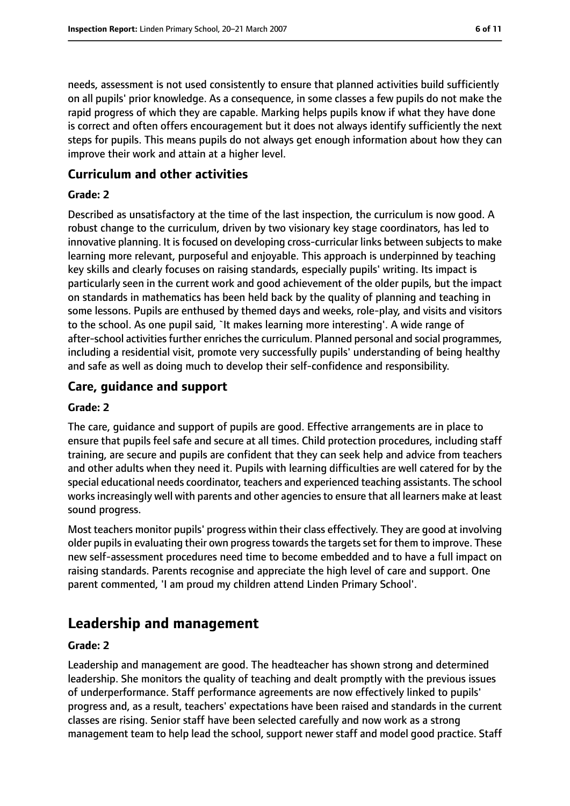needs, assessment is not used consistently to ensure that planned activities build sufficiently on all pupils' prior knowledge. As a consequence, in some classes a few pupils do not make the rapid progress of which they are capable. Marking helps pupils know if what they have done is correct and often offers encouragement but it does not always identify sufficiently the next steps for pupils. This means pupils do not always get enough information about how they can improve their work and attain at a higher level.

### **Curriculum and other activities**

#### **Grade: 2**

Described as unsatisfactory at the time of the last inspection, the curriculum is now good. A robust change to the curriculum, driven by two visionary key stage coordinators, has led to innovative planning. It is focused on developing cross-curricular links between subjects to make learning more relevant, purposeful and enjoyable. This approach is underpinned by teaching key skills and clearly focuses on raising standards, especially pupils' writing. Its impact is particularly seen in the current work and good achievement of the older pupils, but the impact on standards in mathematics has been held back by the quality of planning and teaching in some lessons. Pupils are enthused by themed days and weeks, role-play, and visits and visitors to the school. As one pupil said, `It makes learning more interesting'. A wide range of after-school activities further enriches the curriculum. Planned personal and social programmes, including a residential visit, promote very successfully pupils' understanding of being healthy and safe as well as doing much to develop their self-confidence and responsibility.

## **Care, guidance and support**

#### **Grade: 2**

The care, guidance and support of pupils are good. Effective arrangements are in place to ensure that pupils feel safe and secure at all times. Child protection procedures, including staff training, are secure and pupils are confident that they can seek help and advice from teachers and other adults when they need it. Pupils with learning difficulties are well catered for by the special educational needs coordinator, teachers and experienced teaching assistants. The school works increasingly well with parents and other agencies to ensure that all learners make at least sound progress.

Most teachers monitor pupils' progress within their class effectively. They are good at involving older pupils in evaluating their own progress towards the targets set for them to improve. These new self-assessment procedures need time to become embedded and to have a full impact on raising standards. Parents recognise and appreciate the high level of care and support. One parent commented, 'I am proud my children attend Linden Primary School'.

## **Leadership and management**

#### **Grade: 2**

Leadership and management are good. The headteacher has shown strong and determined leadership. She monitors the quality of teaching and dealt promptly with the previous issues of underperformance. Staff performance agreements are now effectively linked to pupils' progress and, as a result, teachers' expectations have been raised and standards in the current classes are rising. Senior staff have been selected carefully and now work as a strong management team to help lead the school, support newer staff and model good practice. Staff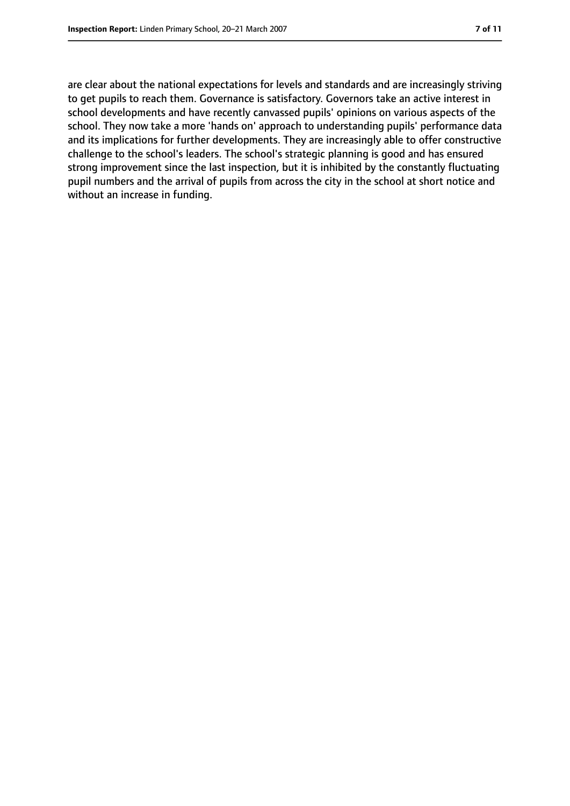are clear about the national expectations for levels and standards and are increasingly striving to get pupils to reach them. Governance is satisfactory. Governors take an active interest in school developments and have recently canvassed pupils' opinions on various aspects of the school. They now take a more 'hands on' approach to understanding pupils' performance data and its implications for further developments. They are increasingly able to offer constructive challenge to the school's leaders. The school's strategic planning is good and has ensured strong improvement since the last inspection, but it is inhibited by the constantly fluctuating pupil numbers and the arrival of pupils from across the city in the school at short notice and without an increase in funding.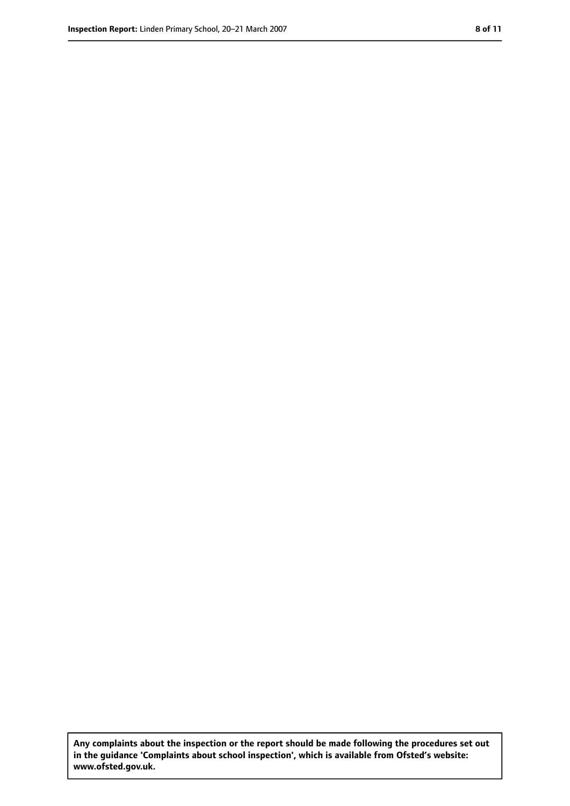**Any complaints about the inspection or the report should be made following the procedures set out in the guidance 'Complaints about school inspection', which is available from Ofsted's website: www.ofsted.gov.uk.**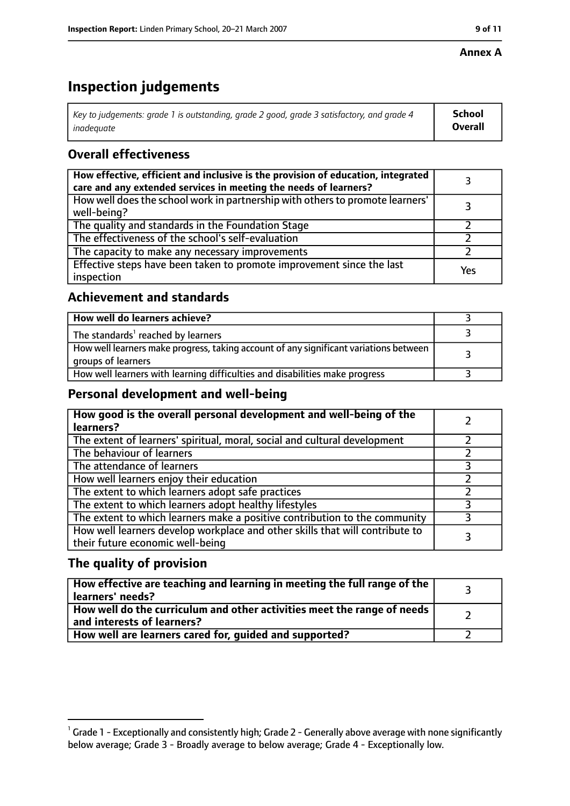#### **Annex A**

# **Inspection judgements**

| Key to judgements: grade 1 is outstanding, grade 2 good, grade 3 satisfactory, and grade 4 $\,$ | <b>School</b>  |
|-------------------------------------------------------------------------------------------------|----------------|
| inadequate                                                                                      | <b>Overall</b> |

## **Overall effectiveness**

| How effective, efficient and inclusive is the provision of education, integrated<br>care and any extended services in meeting the needs of learners? |     |
|------------------------------------------------------------------------------------------------------------------------------------------------------|-----|
| How well does the school work in partnership with others to promote learners'<br>well-being?                                                         |     |
| The quality and standards in the Foundation Stage                                                                                                    |     |
| The effectiveness of the school's self-evaluation                                                                                                    |     |
| The capacity to make any necessary improvements                                                                                                      |     |
| Effective steps have been taken to promote improvement since the last<br>inspection                                                                  | Yes |

## **Achievement and standards**

| How well do learners achieve?                                                                               |  |
|-------------------------------------------------------------------------------------------------------------|--|
| The standards <sup>1</sup> reached by learners                                                              |  |
| How well learners make progress, taking account of any significant variations between<br>groups of learners |  |
| How well learners with learning difficulties and disabilities make progress                                 |  |

## **Personal development and well-being**

| How good is the overall personal development and well-being of the<br>learners?                                  |  |
|------------------------------------------------------------------------------------------------------------------|--|
| The extent of learners' spiritual, moral, social and cultural development                                        |  |
| The behaviour of learners                                                                                        |  |
| The attendance of learners                                                                                       |  |
| How well learners enjoy their education                                                                          |  |
| The extent to which learners adopt safe practices                                                                |  |
| The extent to which learners adopt healthy lifestyles                                                            |  |
| The extent to which learners make a positive contribution to the community                                       |  |
| How well learners develop workplace and other skills that will contribute to<br>their future economic well-being |  |

## **The quality of provision**

| How effective are teaching and learning in meeting the full range of the<br>learners' needs?          |  |
|-------------------------------------------------------------------------------------------------------|--|
| How well do the curriculum and other activities meet the range of needs<br>and interests of learners? |  |
| How well are learners cared for, quided and supported?                                                |  |

 $^1$  Grade 1 - Exceptionally and consistently high; Grade 2 - Generally above average with none significantly below average; Grade 3 - Broadly average to below average; Grade 4 - Exceptionally low.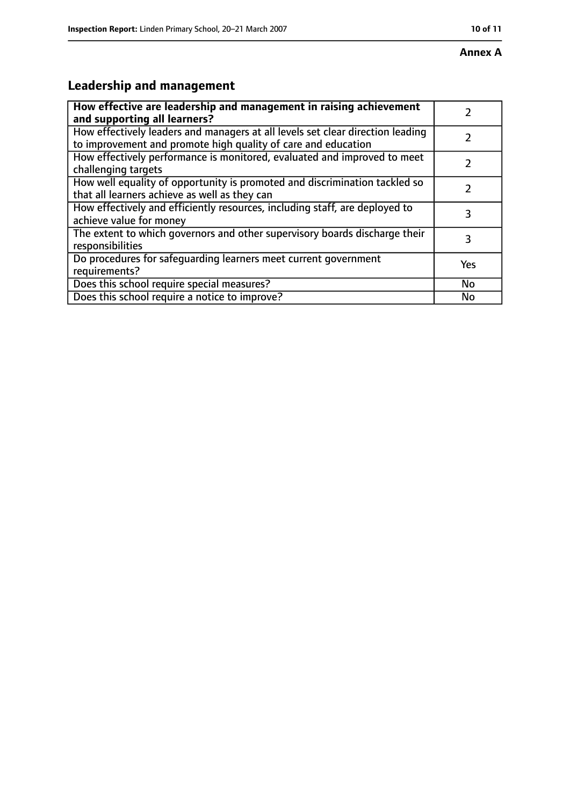# **Leadership and management**

| How effective are leadership and management in raising achievement                                                                              |           |
|-------------------------------------------------------------------------------------------------------------------------------------------------|-----------|
| and supporting all learners?                                                                                                                    |           |
| How effectively leaders and managers at all levels set clear direction leading<br>to improvement and promote high quality of care and education |           |
| How effectively performance is monitored, evaluated and improved to meet<br>challenging targets                                                 |           |
| How well equality of opportunity is promoted and discrimination tackled so<br>that all learners achieve as well as they can                     |           |
| How effectively and efficiently resources, including staff, are deployed to<br>achieve value for money                                          | 3         |
| The extent to which governors and other supervisory boards discharge their<br>responsibilities                                                  | 3         |
| Do procedures for safequarding learners meet current government<br>requirements?                                                                | Yes       |
| Does this school require special measures?                                                                                                      | <b>No</b> |
| Does this school require a notice to improve?                                                                                                   | Nο        |